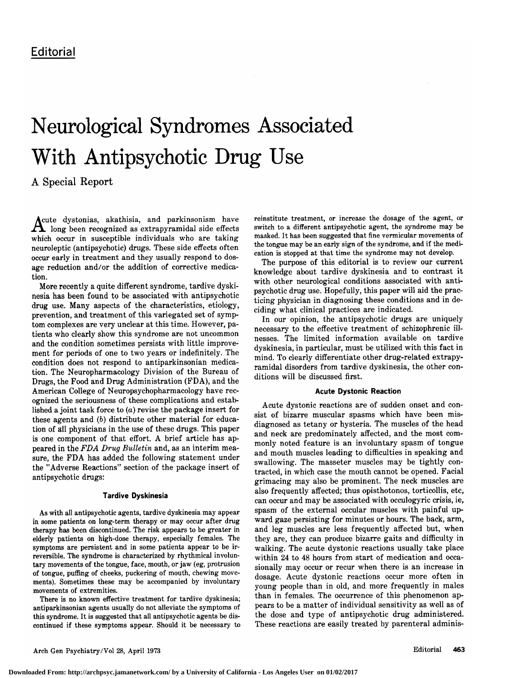# Neurological Syndromes Associated With Antipsychotic Drug Use

A Special Report

Acute dystonias, akathisia, and parkinsonism have  $\boldsymbol{\Lambda}$  long been recognized as extrapyramidal side effects which occur in susceptible individuals who are taking neuroleptic (antipsychotic) drugs. These side effects often occur early in treatment and they usually respond to dosage reduction and/or the addition of corrective medication.

More recently <sup>a</sup> quite different syndrome, tardive dyskinesia has been found to be associated with antipsychotic drug use. Many aspects of the characteristics, etiology, prevention, and treatment of this variegated set of symptom complexes are very unclear at this time. However, patients who clearly show this syndrome are not uncommon and the condition sometimes persists with little improvement for periods of one to two years or indefinitely. The condition does not respond to antiparkinsonian medication. The Neuropharmacology Division of the Bureau of Drugs, the Food and Drug Administration (FDA), and the American College of Neuropsychopharmacology have recognized the seriousness of these complications and established <sup>a</sup> joint task force to (a) revise the package insert for these agents and (b) distribute other material for education of all physicians in the use of these drugs. This paper is one component of that effort. A brief article has appeared in the FDA Drug Bulletin and, as an interim measure, the FDA has added the following statement under the "Adverse Reactions" section of the package insert of antipsychotic drugs:

# Tardive Dyskinesia

As with all antipsychotic agents, tardive dyskinesia may appear in some patients on long-term therapy or may occur after drug therapy has been discontinued. The risk appears to be greater in elderly patients on high-dose therapy, especially females. The symptoms are persistent and in some patients appear to be irreversible. The syndrome is characterized by rhythmical involuntary movements of the tongue, face, mouth, or jaw (eg, protrusion of tongue, puffing of cheeks, puckering of mouth, chewing movements). Sometimes these may be accompanied by involuntary movements of extremities.

There is no known effective treatment for tardive dyskinesia; antiparkinsonian agents usually do not alleviate the symptoms of this syndrome. It is suggested that all antipsychotic agents be discontinued if these symptoms appear. Should it be necessary to reinstitute treatment, or increase the dosage of the agent, or switch to <sup>a</sup> different antipsychotic agent, the syndrome may be masked. It has been suggested that fine vermicular movements of the tongue may be an early sign of the syndrome, and if the medication is stopped at that time the syndrome may not develop.

The purpose of this editorial is to review our current knowledge about tardive dyskinesia and to contrast it with other neurological conditions associated with antipsychotic drug use. Hopefully, this paper will aid the practicing physician in diagnosing these conditions and in deciding what clinical practices are indicated.

In our opinion, the antipsychotic drugs are uniquely necessary to the effective treatment of schizophrenic illnesses. The limited information available on tardive dyskinesia, in particular, must be utilized with this fact in mind. To clearly differentiate other drug-related extrapyramidal disorders from tardive dyskinesia, the other conditions will be discussed first.

## Acute Dystonie Reaction

Acute dystonic reactions are of sudden onset and con sist of bizarre muscular spasms which have been misdiagnosed as tetany or hysteria. The muscles of the head and neck are predominately affected, and the most commonly noted feature is an involuntary spasm of tongue and mouth muscles leading to difficulties in speaking and swallowing. The masseter muscles may be tightly contracted, in which case the mouth cannot be opened. Facial grimacing may also be prominent. The neck muscles are also frequently affected; thus opisthotonos, torticollis, etc, can occur and may be associated with occulogyric crisis, ie, spasm of the external occular muscles with painful upward gaze persisting for minutes or hours. The back, arm, and leg muscles are less frequently affected but, when they are, they can produce bizarre gaits and difficulty in walking. The acute dystonic reactions usually take place within 24 to 48 hours from start of medication and occasionally may occur or recur when there is an increase in dosage. Acute dystonic reactions occur more often in young people than in old, and more frequently in males than in females. The occurrence of this phenomenon appears to be <sup>a</sup> matter of individual sensitivity as well as of the dose and type of antipsychotic drug administered. These reactions are easily treated by parenteral adminis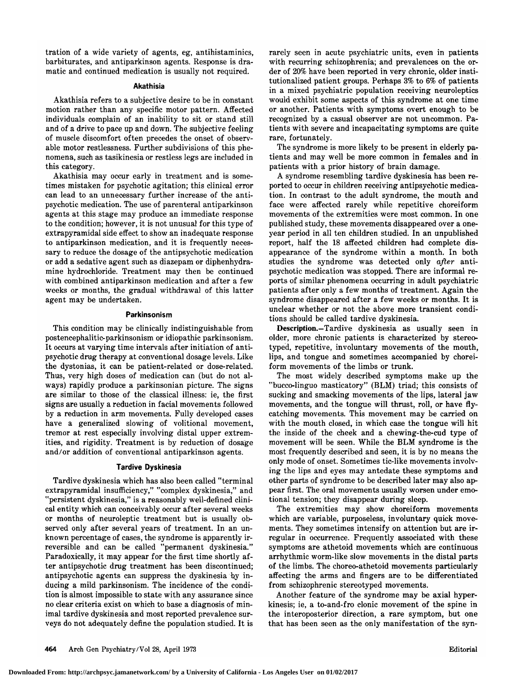tration of <sup>a</sup> wide variety of agents, eg, antihistaminics, barbiturates, and antiparkinson agents. Response is dramatic and continued medication is usually not required.

#### Akathisia

Akathisia refers to <sup>a</sup> subjective desire to be in constant motion rather than any specific motor pattern. Affected individuals complain of an inability to sit or stand still and of <sup>a</sup> drive to pace up and down. The subjective feeling of muscle discomfort often precedes the onset of observable motor restlessness. Further subdivisions of this phenomena, such as tasikinesia or restless legs are included in this category.

Akathisia may occur early in treatment and is sometimes mistaken for psychotic agitation; this clinical error can lead to an unnecessary further increase of the antipsychotic medication. The use of parenteral antiparkinson agents at this stage may produce an immediate response to the condition; however, it is not unusual for this type of extrapyramidal side effect to show an inadequate response to antiparkinson medication, and it is frequently necessary to reduce the dosage of the antipsychotic medication or add <sup>a</sup> sedative agent such as diazepam or diphenhydramine hydrochloride. Treatment may then be continued with combined antiparkinson medication and after <sup>a</sup> few weeks or months, the gradual withdrawal of this latter agent may be undertaken.

## Parkinsonism

This condition may be clinically indistinguishable from postencephalitic-parkinsonism or idiopathic parkinsonism. It occurs at varying time intervals after initiation of antipsychotic drug therapy at conventional dosage levels. Like the dystonias, it can be patient-related or dose-related. Thus, very high doses of medication can (but do not always) rapidly produce a parkinsonian picture. The signs are similar to those of the classical illness: ie, the first signs are usually <sup>a</sup> reduction in facial movements followed by <sup>a</sup> reduction in arm movements. Fully developed cases have a generalized slowing of volitional movement, tremor at rest especially involving distal upper extremities, and rigidity. Treatment is by reduction of dosage and/or addition of conventional antiparkinson agents.

## Tardive Dyskinesia

Tardive dyskinesia which has also been called "terminal extrapyramidal insufficiency," "complex dyskinesia," and "persistent dyskinesia," is a reasonably well-defined clinical entity which can conceivably occur after several weeks or months of neuroleptic treatment but is usually observed only after several years of treatment. In an unknown percentage of cases, the syndrome is apparently ir reversible and can be called "permanent dyskinesia." Paradoxically, it may appear for the first time shortly after antipsychotic drug treatment has been discontinued; antipsychotic agents can suppress the dyskinesia by in ducing a mild parkinsonism. The incidence of the condition is almost impossible to state with any assurance since no clear criteria exist on which to base a diagnosis of minimal tardive dyskinesia and most reported prevalence surveys do not adequately define the population studied. It is rarely seen in acute psychiatric units, even in patients with recurring schizophrenia; and prevalences on the order of 20% have been reported in very chronic, older institutionalized patient groups. Perhaps 3% to 6% of patients in <sup>a</sup> mixed psychiatric population receiving neuroleptics would exhibit some aspects of this syndrome at one time or another. Patients with symptoms overt enough to be recognized by a casual observer are not uncommon. Patients with severe and incapacitating symptoms are quite rare, fortunately.

The syndrome is more likely to be present in elderly patients and may well be more common in females and in patients with <sup>a</sup> prior history of brain damage.

A syndrome resembling tardive dyskinesia has been reported to occur in children receiving antipsychotic medication. In contrast to the adult syndrome, the mouth and face were affected rarely while repetitive choreiform movements of the extremities were most common. In one published study, these movements disappeared over a oneyear period in all ten children studied. In an unpublished report, half the 18 affected children had complete disappearance of the syndrome within <sup>a</sup> month. In both studies the syndrome was detected only after antipsychotic medication was stopped. There are informal re ports of similar phenomena occurring in adult psychiatric patients after only <sup>a</sup> few months of treatment. Again the syndrome disappeared after <sup>a</sup> few weeks or months. It is unclear whether or not the above more transient conditions should be called tardive dyskinesia.

Description.—Tardive dyskinesia as usually seen in older, more chronic patients is characterized by stereotyped, repetitive, involuntary movements of the mouth, lips, and tongue and sometimes accompanied by choreiform movements of the limbs or trunk.

The most widely described symptoms make up the "bucco-linguo masticatory" (BLM) triad; this consists of sucking and smacking movements of the lips, lateral jaw movements, and the tongue will thrust, roll, or have flycatching movements. This movement may be carried on with the mouth closed, in which case the tongue will hit the inside of the cheek and <sup>a</sup> chewing-the-cud type of movement will be seen. While the BLM syndrome is the most frequently described and seen, it is by no means the only mode of onset. Sometimes tic-like movements involving the lips and eyes may antedate these symptoms and other parts of syndrome to be described later may also appear first. The oral movements usually worsen under emotional tension; they disappear during sleep.

The extremities may show choreiform movements which are variable, purposeless, involuntary quick movements. They sometimes intensify on attention but are irregular in occurrence. Frequently associated with these symptoms are athetoid movements which are continuous arrhythmic worm-like slow movements in the distal parts of the limbs. The choreo-athetoid movements particularly affecting the arms and fingers are to be differentiated from schizophrenic stereotyped movements.

Another feature of the syndrome may be axial hyperkinesis; ie, <sup>a</sup> to-and-fro clonic movement of the spine in the interoposterior direction, <sup>a</sup> rare symptom, but one that has been seen as the only manifestation of the syn-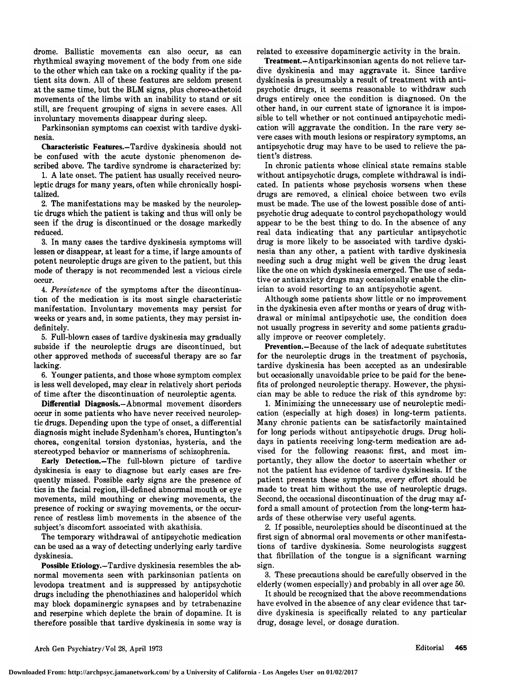drome. Ballistic movements can also occur, as can rhythmical swaying movement of the body from one side to the other which can take on a rocking quality if the patient sits down. All of these features are seldom present at the same time, but the BLM signs, plus choreo-athetoid movements of the limbs with an inability to stand or sit still, are frequent grouping of signs in severe cases. All involuntary movements disappear during sleep.

Parkinsonian symptoms can coexist with tardive dyskinesia.

Characteristic Features.—Tardive dyskinesia should not be confused with the acute dystonic phenomenon described above. The tardive syndrome is characterized by:

1. A late onset. The patient has usually received neuroleptic drugs for many years, often while chronically hospitalized.

2. The manifestations may be masked by the neuroleptic drugs which the patient is taking and thus will only be seen if the drug is discontinued or the dosage markedly reduced.

3. In many cases the tardive dyskinesia symptoms will lessen or disappear, at least for <sup>a</sup> time, if large amounts of potent neuroleptic drugs are given to the patient, but this mode of therapy is not recommended lest <sup>a</sup> vicious circle occur.

4. Persistence of the symptoms after the discontinuation of the medication is its most single characteristic manifestation. Involuntary movements may persist for weeks or years and, in some patients, they may persist indefinitely.

5. Full-blown cases of tardive dyskinesia may gradually subside if the neuroleptic drugs are discontinued, but other approved methods of successful therapy are so far lacking.

6. Younger patients, and those whose symptom complex is less well developed, may clear in relatively short periods of time after the discontinuation of neuroleptic agents.

Differential Diagnosis.—Abnormal movement disorders occur in some patients who have never received neuroleptic drugs. Depending upon the type of onset, <sup>a</sup> differential diagnosis might include Sydenham's chorea, Huntington's chorea, congenital torsion dystonias, hysteria, and the stereotyped behavior or mannerisms of schizophrenia.

Early Detection.—The full-blown picture of tardive dyskinesia is easy to diagnose but early cases are frequently missed. Possible early signs are the presence of tics in the facial region, ill-defined abnormal mouth or eye movements, mild mouthing or chewing movements, the presence of rocking or swaying movements, or the occurrence of restless limb movements in the absence of the subject's discomfort associated with akathisia.

The temporary withdrawal of antipsychotic medication can be used as <sup>a</sup> way of detecting underlying early tardive dyskinesia.

Possible Etiology.-Tardive dyskinesia resembles the abnormal movements seen with parkinsonian patients on levodopa treatment and is suppressed by antipsychotic drugs including the phenothiazines and haloperidol which may block dopaminergic synapses and by tetrabenazine and reserpine which deplete the brain of dopamine. It is therefore possible that tardive dyskinesia in some way is related to excessive dopaminergic activity in the brain.

Treatment.—Antiparkinsonian agents do not relieve tardive dyskinesia and may aggravate it. Since tardive dyskinesia is presumably a result of treatment with antipsychotic drugs, it seems reasonable to withdraw such drugs entirely once the condition is diagnosed. On the other hand, in our current state of ignorance it is impossible to tell whether or not continued antipsychotic medication will aggravate the condition. In the rare very severe cases with mouth lesions or respiratory symptoms, an antipsychotic drug may have to be used to relieve the patient's distress.

In chronic patients whose clinical state remains stable without antipsychotic drugs, complete withdrawal is indicated. In patients whose psychosis worsens when these drugs are removed, <sup>a</sup> clinical choice between two evils must be made. The use of the lowest possible dose of antipsychotic drug adequate to control psychopathology would appear to be the best thing to do. In the absence of any real data indicating that any particular antipsychotic drug is more likely to be associated with tardive dyskinesia than any other, <sup>a</sup> patient with tardive dyskinesia needing such <sup>a</sup> drug might well be given the drug least like the one on which dyskinesia emerged. The use of sedative or antianxiety drugs may occasionally enable the clinician to avoid resorting to an antipsychotic agent.

Although some patients show little or no improvement in the dyskinesia even after months or years of drug withdrawal or minimal antipsychotic use, the condition does not usually progress in severity and some patients gradually improve or recover completely.

Prevention.—Because of the lack of adequate substitutes for the neuroleptic drugs in the treatment of psychosis, tardive dyskinesia has been accepted as an undesirable but occasionally unavoidable price to be paid for the benefits of prolonged neuroleptic therapy. However, the physician may be able to reduce the risk of this syndrome by:

1. Minimizing the unnecessary use of neuroleptic medication (especially at high doses) in long-term patients. Many chronic patients can be satisfactorily maintained for long periods without antipsychotic drugs. Drug holidays in patients receiving long-term medication are advised for the following reasons: first, and most im portantly, they allow the doctor to ascertain whether or not the patient has evidence of tardive dyskinesia. If the patient presents these symptoms, every effort should be made to treat him without the use of neuroleptic drugs. Second, the occasional discontinuation of the drug may afford a small amount of protection from the long-term hazards of these otherwise very useful agents.

2. If possible, neuroleptics should be discontinued at the first sign of abnormal oral movements or other manifestations of tardive dyskinesia. Some neurologists suggest that fibrillation of the tongue is <sup>a</sup> significant warning sign.

3. These precautions should be carefully observed in the elderly (women especially) and probably in all over age 50.

It should be recognized that the above recommendations have evolved in the absence of any clear evidence that tardive dyskinesia is specifically related to any particular drug, dosage level, or dosage duration.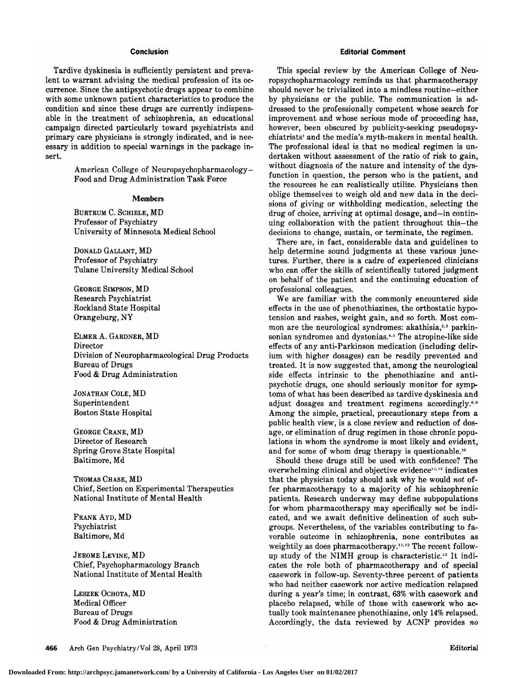#### Conclusion

Tardive dyskinesia is sufficiently persistent and prevalent to warrant advising the medical profession of its occurrence. Since the antipsychotic drugs appear to combine with some unknown patient characteristics to produce the condition and since these drugs are currently indispensable in the treatment of schizophrenia, an educational campaign directed particularly toward psychiatrists and primary care physicians is strongly indicated, and is necessary in addition to special warnings in the package insert.

American College of Neuropsychopharmacology— Food and Drug Administration Task Force

#### Members

Burtrum C. Schiele, MD Professor of Psychiatry University of Minnesota Medical School

Donald Gallant, MD Professor of Psychiatry Tulane University Medical School

George Simpson, MD Research Psychiatrist Rockland State Hospital Orangeburg, NY

Elmer A. Gardner, MD Director Division of Neuropharmacological Drug Products Bureau of Drugs Food & Drug Administration

Jonathan Cole, MD Superintendent Boston State Hospital

George Crane, MD Director of Research Spring Grove State Hospital Baltimore, Md

Thomas Chase, MD Chief, Section on Experimental Therapeutics National Institute of Mental Health

Frank Ayd, MD Psychiatrist Baltimore, Md

Jerome Levine, MD Chief, Psychopharmacology Branch National Institute of Mental Health

Leszek Ochota, MD Medical Officer Bureau of Drugs Food & Drug Administration

# Editorial Comment

This special review by the American College of Neuropsychopharmacology reminds us that pharmacotherapy should never be trivialized into a mindless routine—either by physicians or the public. The communication is addressed to the professionally competent whose search for improvement and whose serious mode of proceeding has, however, been obscured by publicity-seeking pseudopsychiatrists' and the media's myth-makers in mental health. The professional ideal is that no medical regimen is undertaken without assessment of the ratio of risk to gain, without diagnosis of the nature and intensity of the dysfunction in question, the person who is the patient, and the resources he can realistically utilize. Physicians then oblige themselves to weigh old and new data in the decisions of giving or withholding medication, selecting the drug of choice, arriving at optimal dosage, and-in continuing collaboration with the patient throughout this—the decisions to change, sustain, or terminate, the regimen.

There are, in fact, considerable data and guidelines to help determine sound judgments at these various junctures. Further, there is <sup>a</sup> cadre of experienced clinicians who can offer the skills of scientifically tutored judgment on behalf of the patient and the continuing education of professional colleagues.

We are familiar with the commonly encountered side effects in the use of phenothiazines, the orthostatic hypotension and rashes, weight gain, and so forth. Most common are the neurological syndromes: akathisia,<sup>2,3</sup> parkinsonian syndromes and dystonias.<sup>4,5</sup> The atropine-like side effects of any anti-Parkinson medication (including delirium with higher dosages) can be readily prevented and treated. It is now suggested that, among the neurological side effects intrinsic to the phenothiazine and antipsychotic drugs, one should seriously monitor for symptoms of what has been described as tardive dyskinesia and adjust dosages and treatment regimens accordingly.6·9 Among the simple, practical, precautionary steps from <sup>a</sup> public health view, is a close review and reduction of dosage, or elimination of drug regimen in those chronic populations in whom the syndrome is most likely and evident, and for some of whom drug therapy is questionable.<sup>10</sup>

Should these drugs still be used with confidence? The overwhelming clinical and objective evidence $11,12$  indicates that the physician today should ask why he would not offer pharmacotherapy to <sup>a</sup> majority of his schizophrenic patients. Research underway may define subpopulations for whom pharmacotherapy may specifically not be indicated, and we await definitive delineation of such subgroups. Nevertheless, of the variables contributing to favorable outcome in schizophrenia, none contributes as weightily as does pharmacotherapy.<sup>11,12</sup> The recent followup study of the NIMH group is characteristic.<sup>13</sup> It indicates the role both of pharmacotherapy and of special casework in follow-up. Seventy-three percent of patients who had neither casework nor active medication relapsed during <sup>a</sup> year's time; in contrast, 63% with casework and placebo relapsed, while of those with casework who actually took maintenance phenothiazine, only 14% relapsed. Accordingly, the data reviewed by ACNP provides no